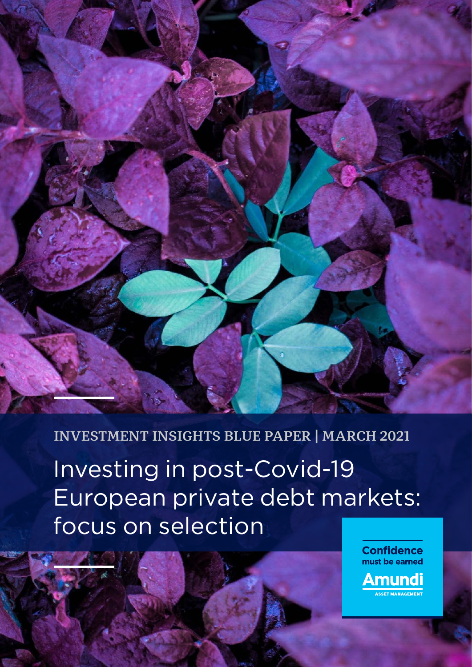

### **INVESTMENT INSIGHTS BLUE PAPER | MARCH 2021**

Investing in post-Covid-19 European private debt markets: focus on selection

> **Confidence** must be earned Amundi <u>.</u><br>Asset Management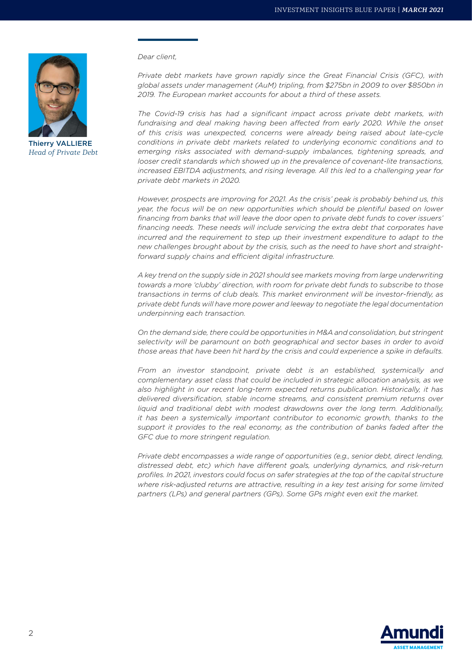

Thierry VALLIERE *Head of Private Debt*

*Dear client,*

*Private debt markets have grown rapidly since the Great Financial Crisis (GFC), with global assets under management (AuM) tripling, from \$275bn in 2009 to over \$850bn in 2019. The European market accounts for about a third of these assets.*

*The Covid-19 crisis has had a significant impact across private debt markets, with*  fundraising and deal making having been affected from early 2020. While the onset *of this crisis was unexpected, concerns were already being raised about late-cycle conditions in private debt markets related to underlying economic conditions and to emerging risks associated with demand-supply imbalances, tightening spreads, and looser credit standards which showed up in the prevalence of covenant-lite transactions, increased EBITDA adjustments, and rising leverage. All this led to a challenging year for private debt markets in 2020.*

*However, prospects are improving for 2021. As the crisis' peak is probably behind us, this year, the focus will be on new opportunities which should be plentiful based on lower financing from banks that will leave the door open to private debt funds to cover issuers' financing needs. These needs will include servicing the extra debt that corporates have incurred and the requirement to step up their investment expenditure to adapt to the new challenges brought about by the crisis, such as the need to have short and straightforward supply chains and efficient digital infrastructure.*

*A key trend on the supply side in 2021 should see markets moving from large underwriting towards a more 'clubby' direction, with room for private debt funds to subscribe to those transactions in terms of club deals. This market environment will be investor-friendly, as private debt funds will have more power and leeway to negotiate the legal documentation underpinning each transaction.*

*On the demand side, there could be opportunities in M&A and consolidation, but stringent selectivity will be paramount on both geographical and sector bases in order to avoid those areas that have been hit hard by the crisis and could experience a spike in defaults.*

*From an investor standpoint, private debt is an established, systemically and complementary asset class that could be included in strategic allocation analysis, as we also highlight in our recent long-term expected returns publication. Historically, it has delivered diversification, stable income streams, and consistent premium returns over liquid and traditional debt with modest drawdowns over the long term. Additionally, it has been a systemically important contributor to economic growth, thanks to the support it provides to the real economy, as the contribution of banks faded after the GFC due to more stringent regulation.*

*Private debt encompasses a wide range of opportunities (e.g., senior debt, direct lending, distressed debt, etc) which have different goals, underlying dynamics, and risk-return profiles. In 2021, investors could focus on safer strategies at the top of the capital structure where risk-adjusted returns are attractive, resulting in a key test arising for some limited partners (LPs) and general partners (GPs). Some GPs might even exit the market.*

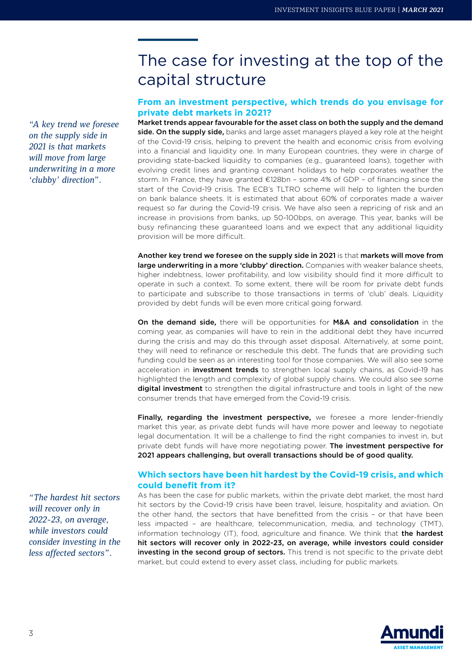*"A key trend we foresee on the supply side in 2021 is that markets will move from large underwriting in a more 'clubby' direction".*

# The case for investing at the top of the capital structure

#### **From an investment perspective, which trends do you envisage for private debt markets in 2021?**

Market trends appear favourable for the asset class on both the supply and the demand side. On the supply side, banks and large asset managers played a key role at the height of the Covid-19 crisis, helping to prevent the health and economic crisis from evolving into a financial and liquidity one. In many European countries, they were in charge of providing state-backed liquidity to companies (e.g., guaranteed loans), together with evolving credit lines and granting covenant holidays to help corporates weather the storm. In France, they have granted €128bn – some 4% of GDP – of financing since the start of the Covid-19 crisis. The ECB's TLTRO scheme will help to lighten the burden on bank balance sheets. It is estimated that about 60% of corporates made a waiver request so far during the Covid-19 crisis. We have also seen a repricing of risk and an increase in provisions from banks, up 50-100bps, on average. This year, banks will be busy refinancing these guaranteed loans and we expect that any additional liquidity provision will be more difficult.

Another key trend we foresee on the supply side in 2021 is that markets will move from large underwriting in a more 'clubby' direction. Companies with weaker balance sheets, higher indebtness, lower profitability, and low visibility should find it more difficult to operate in such a context. To some extent, there will be room for private debt funds to participate and subscribe to those transactions in terms of 'club' deals. Liquidity provided by debt funds will be even more critical going forward.

On the demand side, there will be opportunities for M&A and consolidation in the coming year, as companies will have to rein in the additional debt they have incurred during the crisis and may do this through asset disposal. Alternatively, at some point, they will need to refinance or reschedule this debt. The funds that are providing such funding could be seen as an interesting tool for those companies. We will also see some acceleration in *investment trends* to strengthen local supply chains, as Covid-19 has highlighted the length and complexity of global supply chains. We could also see some digital investment to strengthen the digital infrastructure and tools in light of the new consumer trends that have emerged from the Covid-19 crisis.

Finally, regarding the investment perspective, we foresee a more lender-friendly market this year, as private debt funds will have more power and leeway to negotiate legal documentation. It will be a challenge to find the right companies to invest in, but private debt funds will have more negotiating power. The investment perspective for 2021 appears challenging, but overall transactions should be of good quality.

#### **Which sectors have been hit hardest by the Covid-19 crisis, and which could benefit from it?**

As has been the case for public markets, within the private debt market, the most hard hit sectors by the Covid-19 crisis have been travel, leisure, hospitality and aviation. On the other hand, the sectors that have benefitted from the crisis – or that have been less impacted – are healthcare, telecommunication, media, and technology (TMT), information technology (IT), food, agriculture and finance. We think that the hardest hit sectors will recover only in 2022-23, on average, while investors could consider investing in the second group of sectors. This trend is not specific to the private debt market, but could extend to every asset class, including for public markets.

*"The hardest hit sectors will recover only in 2022-23, on average, while investors could consider investing in the less affected sectors".*

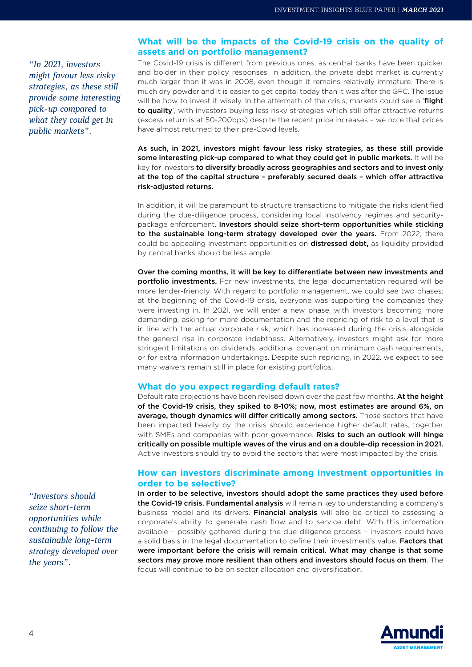*"In 2021, investors might favour less risky strategies, as these still provide some interesting pick-up compared to what they could get in public markets".*

#### **What will be the impacts of the Covid-19 crisis on the quality of assets and on portfolio management?**

The Covid-19 crisis is different from previous ones, as central banks have been quicker and bolder in their policy responses. In addition, the private debt market is currently much larger than it was in 2008, even though it remains relatively immature. There is much dry powder and it is easier to get capital today than it was after the GFC. The issue will be how to invest it wisely. In the aftermath of the crisis, markets could see a 'flight to quality', with investors buying less risky strategies which still offer attractive returns (excess return is at 50-200bps) despite the recent price increases – we note that prices have almost returned to their pre-Covid levels.

As such, in 2021, investors might favour less risky strategies, as these still provide some interesting pick-up compared to what they could get in public markets. It will be key for investors to diversify broadly across geographies and sectors and to invest only at the top of the capital structure – preferably secured deals – which offer attractive risk-adjusted returns.

In addition, it will be paramount to structure transactions to mitigate the risks identified during the due-diligence process, considering local insolvency regimes and securitypackage enforcement. Investors should seize short-term opportunities while sticking to the sustainable long-term strategy developed over the years. From 2022, there could be appealing investment opportunities on **distressed debt**, as liquidity provided by central banks should be less ample.

Over the coming months, it will be key to differentiate between new investments and portfolio investments. For new investments, the legal documentation required will be more lender-friendly. With regard to portfolio management, we could see two phases: at the beginning of the Covid-19 crisis, everyone was supporting the companies they were investing in. In 2021, we will enter a new phase, with investors becoming more demanding, asking for more documentation and the repricing of risk to a level that is in line with the actual corporate risk, which has increased during the crisis alongside the general rise in corporate indebtness. Alternatively, investors might ask for more stringent limitations on dividends, additional covenant on minimum cash requirements, or for extra information undertakings. Despite such repricing, in 2022, we expect to see many waivers remain still in place for existing portfolios.

#### **What do you expect regarding default rates?**

Default rate projections have been revised down over the past few months. At the height of the Covid-19 crisis, they spiked to 8-10%; now, most estimates are around 6%, on average, though dynamics will differ critically among sectors. Those sectors that have been impacted heavily by the crisis should experience higher default rates, together with SMEs and companies with poor governance. Risks to such an outlook will hinge critically on possible multiple waves of the virus and on a double-dip recession in 2021. Active investors should try to avoid the sectors that were most impacted by the crisis.

#### **How can investors discriminate among investment opportunities in order to be selective?**

In order to be selective, investors should adopt the same practices they used before the Covid-19 crisis. Fundamental analysis will remain key to understanding a company's business model and its drivers. Financial analysis will also be critical to assessing a corporate's ability to generate cash flow and to service debt. With this information available – possibly gathered during the due diligence process – investors could have a solid basis in the legal documentation to define their investment's value. Factors that were important before the crisis will remain critical. What may change is that some sectors may prove more resilient than others and investors should focus on them. The focus will continue to be on sector allocation and diversification.



*"Investors should seize short-term opportunities while continuing to follow the sustainable long-term strategy developed over the years".*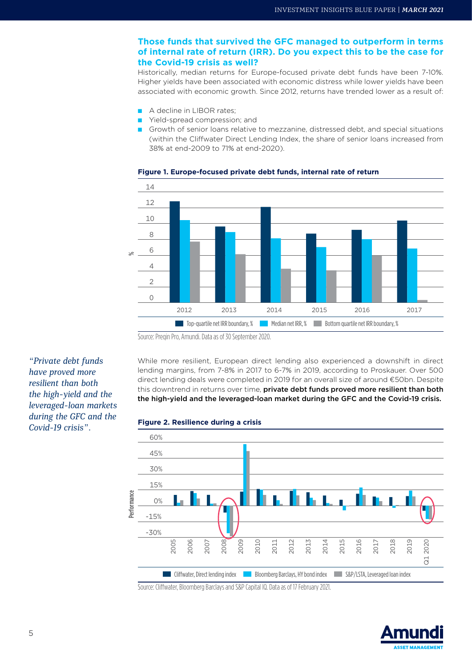### **of internal rate of return (IRR). Do you expect this to be the case for the Covid-19 crisis as well?**

Historically, median returns for Europe-focused private debt funds have been 7-10%. Higher yields have been associated with economic distress while lower yields have been associated with economic growth. Since 2012, returns have trended lower as a result of:

- A decline in LIBOR rates:
- Yield-spread compression; and
- Growth of senior loans relative to mezzanine, distressed debt, and special situations (within the Cliffwater Direct Lending Index, the share of senior loans increased from 38% at end-2009 to 71% at end-2020).



#### **Figure 1. Europe-focused private debt funds, internal rate of return**

Source: Preqin Pro, Amundi. Data as of 30 September 2020.

*"Private debt funds have proved more resilient than both the high-yield and the leveraged-loan markets during the GFC and the Covid-19 crisis".* **Figure 2. Resilience during a crisis**

While more resilient, European direct lending also experienced a downshift in direct lending margins, from 7-8% in 2017 to 6-7% in 2019, according to Proskauer. Over 500 direct lending deals were completed in 2019 for an overall size of around €50bn. Despite this downtrend in returns over time, private debt funds proved more resilient than both the high-yield and the leveraged-loan market during the GFC and the Covid-19 crisis.





Source: Cliffwater, Bloomberg Barclays and S&P Capital IQ. Data as of 17 February 2021.

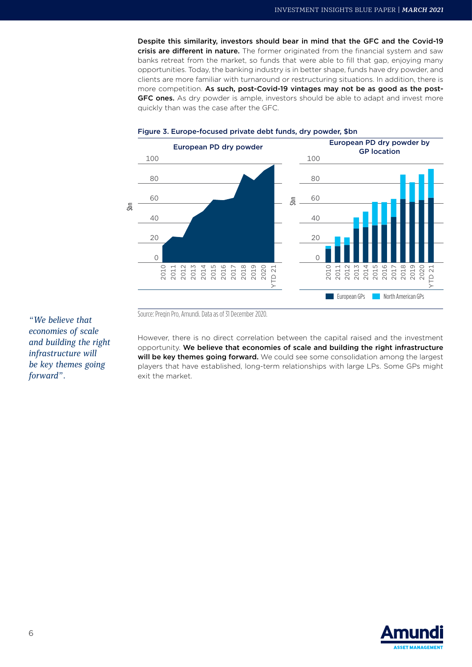Despite this similarity, investors should bear in mind that the GFC and the Covid-19 crisis are different in nature. The former originated from the financial system and saw banks retreat from the market, so funds that were able to fill that gap, enjoying many opportunities. Today, the banking industry is in better shape, funds have dry powder, and clients are more familiar with turnaround or restructuring situations. In addition, there is more competition. As such, post-Covid-19 vintages may not be as good as the post-GFC ones. As dry powder is ample, investors should be able to adapt and invest more quickly than was the case after the GFC.



#### Figure 3. Europe-focused private debt funds, dry powder, \$bn

Source: Preqin Pro, Amundi. Data as of 31 December 2020.

However, there is no direct correlation between the capital raised and the investment opportunity. We believe that economies of scale and building the right infrastructure will be key themes going forward. We could see some consolidation among the largest players that have established, long-term relationships with large LPs. Some GPs might exit the market.

*"We believe that economies of scale and building the right infrastructure will be key themes going forward".*

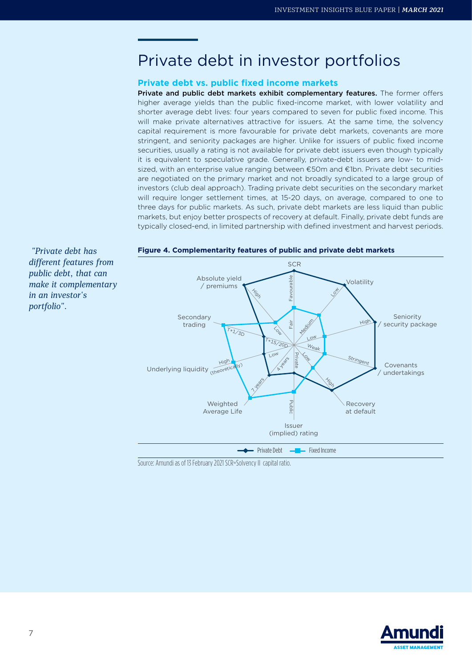# Private debt in investor portfolios

#### **Private debt vs. public fixed income markets**

Private and public debt markets exhibit complementary features. The former offers higher average yields than the public fixed-income market, with lower volatility and shorter average debt lives: four years compared to seven for public fixed income. This will make private alternatives attractive for issuers. At the same time, the solvency capital requirement is more favourable for private debt markets, covenants are more stringent, and seniority packages are higher. Unlike for issuers of public fixed income securities, usually a rating is not available for private debt issuers even though typically it is equivalent to speculative grade. Generally, private-debt issuers are low- to midsized, with an enterprise value ranging between €50m and €1bn. Private debt securities are negotiated on the primary market and not broadly syndicated to a large group of investors (club deal approach). Trading private debt securities on the secondary market will require longer settlement times, at 15-20 days, on average, compared to one to three days for public markets. As such, private debt markets are less liquid than public markets, but enjoy better prospects of recovery at default. Finally, private debt funds are typically closed-end, in limited partnership with defined investment and harvest periods.



Source: Amundi as of 13 February 2021 SCR=Solvency II capital ratio.

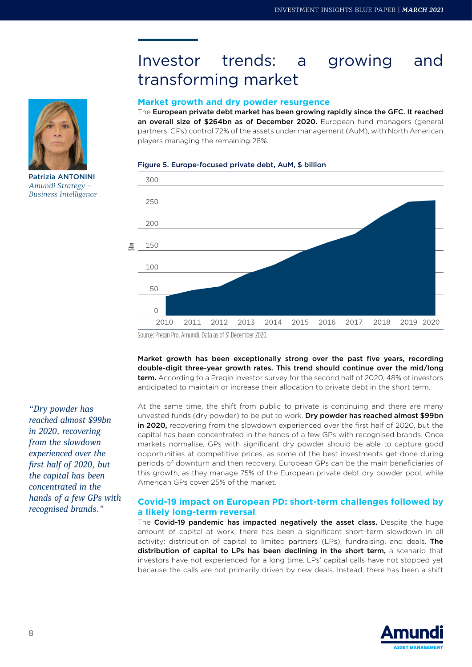## Investor trends: a growing and transforming market

#### **Market growth and dry powder resurgence**

The European private debt market has been growing rapidly since the GFC. It reached an overall size of \$264bn as of December 2020. European fund managers (general partners, GPs) control 72% of the assets under management (AuM), with North American players managing the remaining 28%.

#### Figure 5. Europe-focused private debt, AuM, \$ billion





Patrizia ANTONINI *Amundi Strategy – Business Intelligence* 

Source: Pregin Pro, Amundi. Data as of 31 December 2020.

Market growth has been exceptionally strong over the past five years, recording double-digit three-year growth rates. This trend should continue over the mid/long term. According to a Pregin investor survey for the second half of 2020, 48% of investors anticipated to maintain or increase their allocation to private debt in the short term.

At the same time, the shift from public to private is continuing and there are many unvested funds (dry powder) to be put to work. Dry powder has reached almost \$99bn in 2020, recovering from the slowdown experienced over the first half of 2020, but the capital has been concentrated in the hands of a few GPs with recognised brands. Once markets normalise, GPs with significant dry powder should be able to capture good opportunities at competitive prices, as some of the best investments get done during periods of downturn and then recovery. European GPs can be the main beneficiaries of this growth, as they manage 75% of the European private debt dry powder pool, while American GPs cover 25% of the market.

#### **Covid-19 impact on European PD: short-term challenges followed by a likely long-term reversal**

The Covid-19 pandemic has impacted negatively the asset class. Despite the huge amount of capital at work, there has been a significant short-term slowdown in all activity: distribution of capital to limited partners (LPs), fundraising, and deals. The distribution of capital to LPs has been declining in the short term, a scenario that investors have not experienced for a long time. LPs' capital calls have not stopped yet because the calls are not primarily driven by new deals. Instead, there has been a shift



*"Dry powder has reached almost \$99bn in 2020, recovering from the slowdown experienced over the first half of 2020, but the capital has been concentrated in the hands of a few GPs with recognised brands."*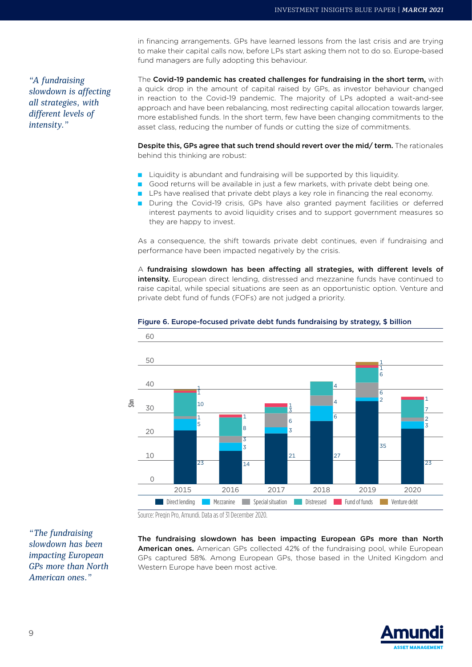*"A fundraising slowdown is affecting all strategies, with different levels of intensity."*

in financing arrangements. GPs have learned lessons from the last crisis and are trying to make their capital calls now, before LPs start asking them not to do so. Europe-based fund managers are fully adopting this behaviour.

The Covid-19 pandemic has created challenges for fundraising in the short term, with a quick drop in the amount of capital raised by GPs, as investor behaviour changed in reaction to the Covid-19 pandemic. The majority of LPs adopted a wait-and-see approach and have been rebalancing, most redirecting capital allocation towards larger, more established funds. In the short term, few have been changing commitments to the asset class, reducing the number of funds or cutting the size of commitments.

Despite this, GPs agree that such trend should revert over the mid/ term. The rationales behind this thinking are robust:

- Liquidity is abundant and fundraising will be supported by this liquidity.
- Good returns will be available in just a few markets, with private debt being one.
- LPs have realised that private debt plays a key role in financing the real economy.
- During the Covid-19 crisis, GPs have also granted payment facilities or deferred interest payments to avoid liquidity crises and to support government measures so they are happy to invest.

As a consequence, the shift towards private debt continues, even if fundraising and performance have been impacted negatively by the crisis.

 $A$  fundraising slowdown has been affecting all strategies, with different levels of intensity. European direct lending, distressed and mezzanine funds have continued to raise capital, while special situations are seen as an opportunistic option. Venture and private debt fund of funds (FOFs) are not judged a priority.



#### Figure 6. Europe-focused private debt funds fundraising by strategy, \$ billion

Source: Preqin Pro, Amundi. Data as of 31 December 2020.

*"The fundraising slowdown has been impacting European GPs more than North American ones."*

The fundraising slowdown has been impacting European GPs more than North American ones. American GPs collected 42% of the fundraising pool, while European GPs captured 58%. Among European GPs, those based in the United Kingdom and Western Europe have been most active.

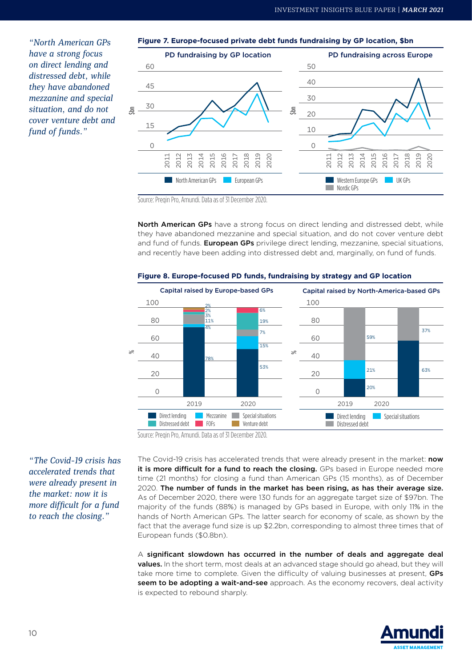*"North American GPs have a strong focus on direct lending and distressed debt, while they have abandoned mezzanine and special situation, and do not cover venture debt and fund of funds."*



Source: Preqin Pro, Amundi. Data as of 31 December 2020.

North American GPs have a strong focus on direct lending and distressed debt, while they have abandoned mezzanine and special situation, and do not cover venture debt and fund of funds. European GPs privilege direct lending, mezzanine, special situations, and recently have been adding into distressed debt and, marginally, on fund of funds.



**Figure 8. Europe-focused PD funds, fundraising by strategy and GP location**

Source: Preqin Pro, Amundi. Data as of 31 December 2020.

*"The Covid-19 crisis has accelerated trends that were already present in the market: now it is more difficult for a fund to reach the closing."*

The Covid-19 crisis has accelerated trends that were already present in the market: now it is more difficult for a fund to reach the closing. GPs based in Europe needed more time (21 months) for closing a fund than American GPs (15 months), as of December 2020. The number of funds in the market has been rising, as has their average size. As of December 2020, there were 130 funds for an aggregate target size of \$97bn. The majority of the funds (88%) is managed by GPs based in Europe, with only 11% in the hands of North American GPs. The latter search for economy of scale, as shown by the fact that the average fund size is up \$2.2bn, corresponding to almost three times that of European funds (\$0.8bn).

 $A$  significant slowdown has occurred in the number of deals and aggregate deal values. In the short term, most deals at an advanced stage should go ahead, but they will take more time to complete. Given the difficulty of valuing businesses at present, GPs seem to be adopting a wait-and-see approach. As the economy recovers, deal activity is expected to rebound sharply.

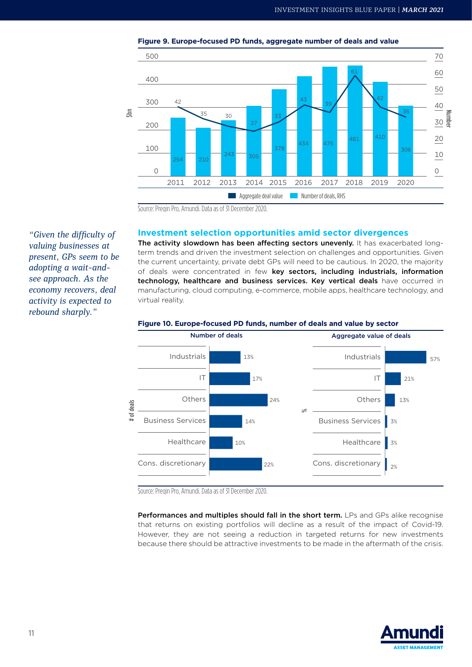



Source: Preqin Pro, Amundi. Data as of 31 December 2020.

#### **Investment selection opportunities amid sector divergences**

The activity slowdown has been affecting sectors unevenly. It has exacerbated longterm trends and driven the investment selection on challenges and opportunities. Given the current uncertainty, private debt GPs will need to be cautious. In 2020, the majority of deals were concentrated in few key sectors, including industrials, information technology, healthcare and business services. Key vertical deals have occurred in manufacturing, cloud computing, e-commerce, mobile apps, healthcare technology, and virtual reality.



#### **Figure 10. Europe-focused PD funds, number of deals and value by sector**

Source: Pregin Pro, Amundi. Data as of 31 December 2020.

Performances and multiples should fall in the short term. LPs and GPs alike recognise that returns on existing portfolios will decline as a result of the impact of Covid-19. However, they are not seeing a reduction in targeted returns for new investments because there should be attractive investments to be made in the aftermath of the crisis.



*"Given the difficulty of valuing businesses at present, GPs seem to be adopting a wait-andsee approach. As the economy recovers, deal activity is expected to rebound sharply."*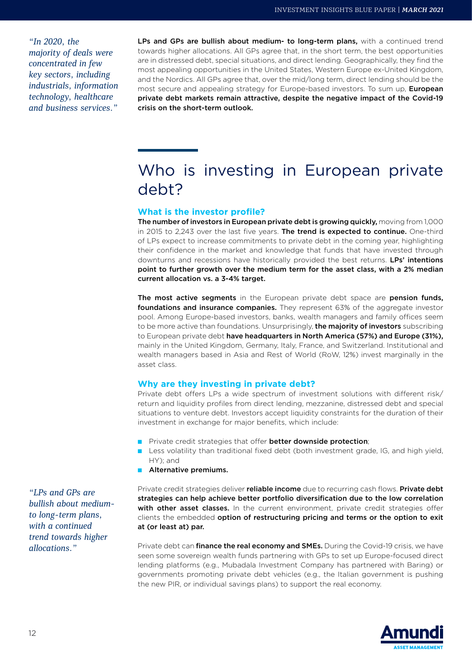*"In 2020, the majority of deals were concentrated in few key sectors, including industrials, information technology, healthcare and business services."*

LPs and GPs are bullish about medium- to long-term plans, with a continued trend towards higher allocations. All GPs agree that, in the short term, the best opportunities are in distressed debt, special situations, and direct lending. Geographically, they find the most appealing opportunities in the United States, Western Europe ex-United Kingdom, and the Nordics. All GPs agree that, over the mid/long term, direct lending should be the most secure and appealing strategy for Europe-based investors. To sum up, **European** private debt markets remain attractive, despite the negative impact of the Covid-19 crisis on the short-term outlook.

# Who is investing in European private debt?

#### **What is the investor profile?**

The number of investors in European private debt is growing quickly, moving from 1,000 in 2015 to 2,243 over the last five years. The trend is expected to continue. One-third of LPs expect to increase commitments to private debt in the coming year, highlighting their confidence in the market and knowledge that funds that have invested through downturns and recessions have historically provided the best returns. LPs' intentions point to further growth over the medium term for the asset class, with a 2% median current allocation vs. a 3-4% target.

The most active segments in the European private debt space are pension funds, foundations and insurance companies. They represent 63% of the aggregate investor pool. Among Europe-based investors, banks, wealth managers and family offices seem to be more active than foundations. Unsurprisingly, the majority of investors subscribing to European private debt have headquarters in North America (57%) and Europe (31%), mainly in the United Kingdom, Germany, Italy, France, and Switzerland. Institutional and wealth managers based in Asia and Rest of World (RoW, 12%) invest marginally in the asset class.

#### **Why are they investing in private debt?**

Private debt offers LPs a wide spectrum of investment solutions with different risk/ return and liquidity profiles from direct lending, mezzanine, distressed debt and special situations to venture debt. Investors accept liquidity constraints for the duration of their investment in exchange for major benefits, which include:

- **Private credit strategies that offer better downside protection;**
- Less volatility than traditional fixed debt (both investment grade, IG, and high yield, HY); and
- Alternative premiums.

Private credit strategies deliver reliable income due to recurring cash flows. Private debt strategies can help achieve better portfolio diversification due to the low correlation with other asset classes. In the current environment, private credit strategies offer clients the embedded option of restructuring pricing and terms or the option to exit at (or least at) par.

Private debt can *finance the real economy and SMEs*. During the Covid-19 crisis, we have seen some sovereign wealth funds partnering with GPs to set up Europe-focused direct lending platforms (e.g., Mubadala Investment Company has partnered with Baring) or governments promoting private debt vehicles (e.g., the Italian government is pushing the new PIR, or individual savings plans) to support the real economy.



*"LPs and GPs are bullish about mediumto long-term plans, with a continued trend towards higher allocations."*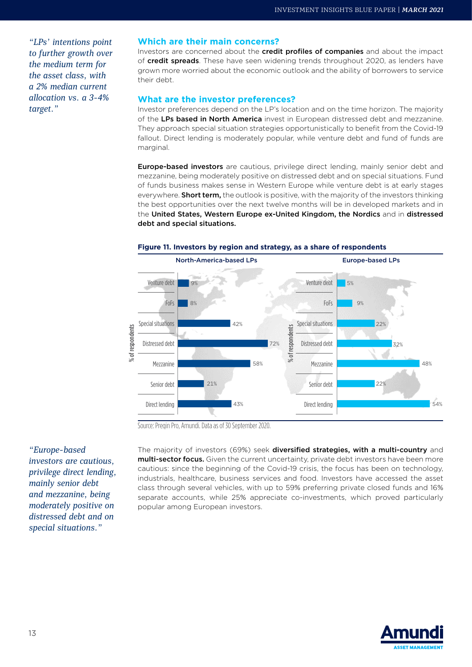*"LPs' intentions point to further growth over the medium term for the asset class, with a 2% median current allocation vs. a 3-4% target."*

#### **Which are their main concerns?**

Investors are concerned about the **credit profiles of companies** and about the impact of credit spreads. These have seen widening trends throughout 2020, as lenders have grown more worried about the economic outlook and the ability of borrowers to service their debt.

#### **What are the investor preferences?**

Investor preferences depend on the LP's location and on the time horizon. The majority of the LPs based in North America invest in European distressed debt and mezzanine. They approach special situation strategies opportunistically to benefit from the Covid-19 fallout. Direct lending is moderately popular, while venture debt and fund of funds are marginal.

Europe-based investors are cautious, privilege direct lending, mainly senior debt and mezzanine, being moderately positive on distressed debt and on special situations. Fund of funds business makes sense in Western Europe while venture debt is at early stages everywhere. Short term, the outlook is positive, with the majority of the investors thinking the best opportunities over the next twelve months will be in developed markets and in the United States, Western Europe ex-United Kingdom, the Nordics and in distressed debt and special situations.



#### **Figure 11. Investors by region and strategy, as a share of respondents**

Source: Preqin Pro, Amundi. Data as of 30 September 2020.

*"Europe-based investors are cautious, privilege direct lending, mainly senior debt and mezzanine, being moderately positive on distressed debt and on special situations."*

The majority of investors (69%) seek diversified strategies, with a multi-country and multi-sector focus. Given the current uncertainty, private debt investors have been more cautious: since the beginning of the Covid-19 crisis, the focus has been on technology, industrials, healthcare, business services and food. Investors have accessed the asset class through several vehicles, with up to 59% preferring private closed funds and 16% separate accounts, while 25% appreciate co-investments, which proved particularly popular among European investors.

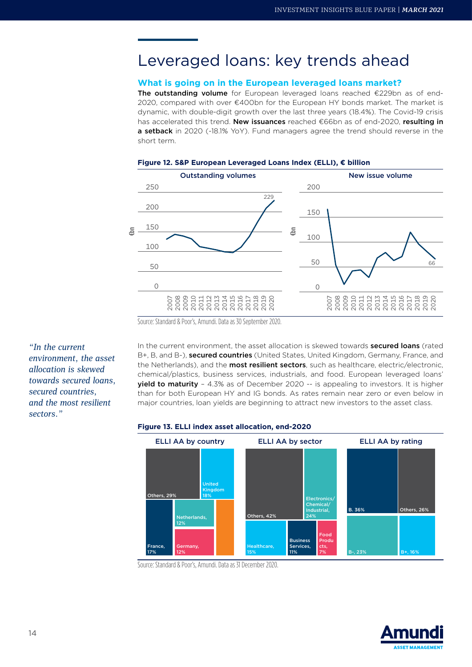## Leveraged loans: key trends ahead

#### **What is going on in the European leveraged loans market?**

The outstanding volume for European leveraged loans reached  $E229$ bn as of end-2020, compared with over €400bn for the European HY bonds market. The market is dynamic, with double-digit growth over the last three years (18.4%). The Covid-19 crisis has accelerated this trend. New issuances reached €66bn as of end-2020, resulting in a setback in 2020 (-18.1% YoY). Fund managers agree the trend should reverse in the short term.



#### Figure 12. S&P European Leveraged Loans Index (ELLI), € billion

*"In the current environment, the asset allocation is skewed towards secured loans, secured countries, and the most resilient sectors."*

In the current environment, the asset allocation is skewed towards **secured loans** (rated B+, B, and B-), **secured countries** (United States, United Kingdom, Germany, France, and the Netherlands), and the **most resilient sectors**, such as healthcare, electric/electronic, chemical/plastics, business services, industrials, and food. European leveraged loans' yield to maturity - 4.3% as of December 2020 -- is appealing to investors. It is higher than for both European HY and IG bonds. As rates remain near zero or even below in major countries, loan yields are beginning to attract new investors to the asset class.

#### **Figure 13. ELLI index asset allocation, end-2020**



Source: Standard & Poor's, Amundi. Data as 31 December 2020.



Source: Standard & Poor's, Amundi. Data as 30 September 2020.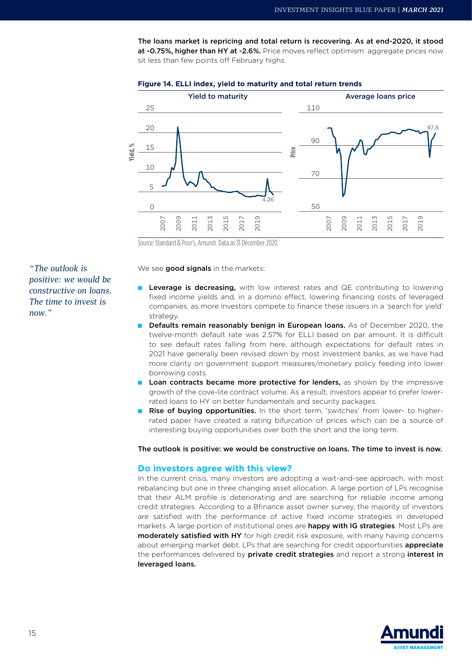The loans market is repricing and total return is recovering. As at end-2020, it stood at -0.75%, higher than HY at -2.6%. Price moves reflect optimism: aggregate prices now sit less than few points off February highs.



#### **Figure 14. ELLI index, yield to maturity and total return trends**

Source: Standard & Poor's, Amundi. Data as 31 December 2020.

We see good signals in the markets:

- Leverage is decreasing, with low interest rates and QE contributing to lowering fixed income yields and, in a domino effect, lowering financing costs of leveraged companies, as more investors compete to finance these issuers in a 'search for yield' strategy.
	- Defaults remain reasonably benign in European Ioans. As of December 2020, the twelve-month default rate was 2.57% for ELLI based on par amount. It is difficult to see default rates falling from here, although expectations for default rates in 2021 have generally been revised down by most investment banks, as we have had more clarity on government support measures/monetary policy feeding into lower borrowing costs.
- Loan contracts became more protective for lenders, as shown by the impressive growth of the cove-lite contract volume. As a result, investors appear to prefer lowerrated loans to HY on better fundamentals and security packages.
- Rise of buying opportunities. In the short term, 'switches' from lower- to higherrated paper have created a rating bifurcation of prices which can be a source of interesting buying opportunities over both the short and the long term.

#### The outlook is positive: we would be constructive on loans. The time to invest is now.

#### **Do investors agree with this view?**

In the current crisis, many investors are adopting a wait-and-see approach, with most rebalancing but one in three changing asset allocation. A large portion of LPs recognise that their ALM profile is deteriorating and are searching for reliable income among credit strategies. According to a Bfinance asset owner survey, the majority of investors are satisfied with the performance of active fixed income strategies in developed markets. A large portion of institutional ones are **happy with IG strategies**. Most LPs are moderately satisfied with HY for high credit risk exposure, with many having concerns about emerging market debt. LPs that are searching for credit opportunities **appreciate** the performances delivered by private credit strategies and report a strong interest in leveraged loans.



*"The outlook is positive: we would be constructive on loans. The time to invest is now."*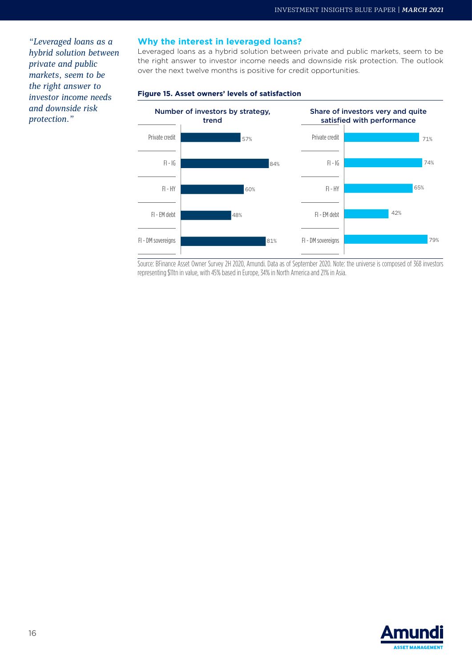*"Leveraged loans as a hybrid solution between private and public markets, seem to be the right answer to investor income needs and downside risk protection."*

#### **Why the interest in leveraged loans?**

Leveraged loans as a hybrid solution between private and public markets, seem to be the right answer to investor income needs and downside risk protection. The outlook over the next twelve months is positive for credit opportunities.



#### **Figure 15. Asset owners' levels of satisfaction**

Source: BFinance Asset Owner Survey 2H 2020, Amundi. Data as of September 2020. Note: the universe is composed of 368 investors representing \$11tn in value, with 45% based in Europe, 34% in North America and 21% in Asia.

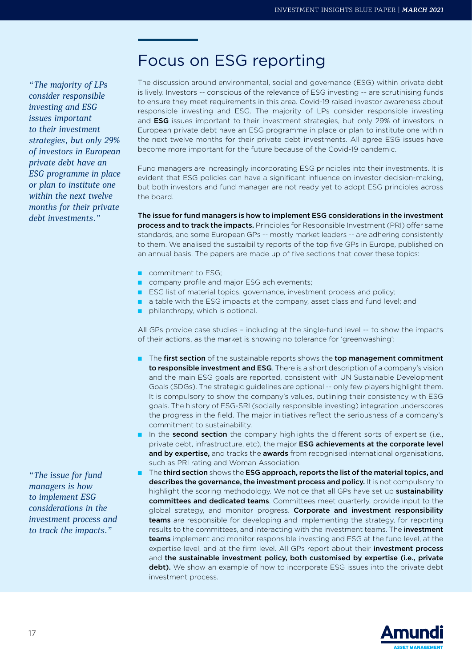### Focus on ESG reporting

*"The majority of LPs consider responsible investing and ESG issues important to their investment strategies, but only 29% of investors in European private debt have an ESG programme in place or plan to institute one within the next twelve months for their private debt investments."*

The discussion around environmental, social and governance (ESG) within private debt is lively. Investors -- conscious of the relevance of ESG investing -- are scrutinising funds to ensure they meet requirements in this area. Covid-19 raised investor awareness about responsible investing and ESG. The majority of LPs consider responsible investing and ESG issues important to their investment strategies, but only 29% of investors in European private debt have an ESG programme in place or plan to institute one within the next twelve months for their private debt investments. All agree ESG issues have become more important for the future because of the Covid-19 pandemic.

Fund managers are increasingly incorporating ESG principles into their investments. It is evident that ESG policies can have a significant influence on investor decision-making, but both investors and fund manager are not ready yet to adopt ESG principles across the board.

The issue for fund managers is how to implement ESG considerations in the investment process and to track the impacts. Principles for Responsible Investment (PRI) offer same standards, and some European GPs -- mostly market leaders -- are adhering consistently to them. We analised the sustaibility reports of the top five GPs in Europe, published on an annual basis. The papers are made up of five sections that cover these topics:

- commitment to ESG;
- company profile and major ESG achievements;
- ESG list of material topics, governance, investment process and policy;
- a table with the ESG impacts at the company, asset class and fund level; and
- philanthropy, which is optional.

All GPs provide case studies – including at the single-fund level -- to show the impacts of their actions, as the market is showing no tolerance for 'greenwashing':

- The first section of the sustainable reports shows the top management commitment to responsible investment and ESG. There is a short description of a company's vision and the main ESG goals are reported, consistent with UN Sustainable Development Goals (SDGs). The strategic guidelines are optional -- only few players highlight them. It is compulsory to show the company's values, outlining their consistency with ESG goals. The history of ESG-SRI (socially responsible investing) integration underscores the progress in the field. The major initiatives reflect the seriousness of a company's commitment to sustainability.
- In the second section the company highlights the different sorts of expertise (i.e., private debt, infrastructure, etc), the major **ESG achievements at the corporate level** and by expertise, and tracks the awards from recognised international organisations, such as PRI rating and Woman Association.
- The third section shows the ESG approach, reports the list of the material topics, and describes the governance, the investment process and policy. It is not compulsory to highlight the scoring methodology. We notice that all GPs have set up sustainability committees and dedicated teams. Committees meet quarterly, provide input to the global strategy, and monitor progress. Corporate and investment responsibility **teams** are responsible for developing and implementing the strategy, for reporting results to the committees, and interacting with the investment teams. The investment teams implement and monitor responsible investing and ESG at the fund level, at the expertise level, and at the firm level. All GPs report about their investment process and the sustainable investment policy, both customised by expertise (i.e., private debt). We show an example of how to incorporate ESG issues into the private debt investment process.



*"The issue for fund managers is how to implement ESG considerations in the investment process and to track the impacts."*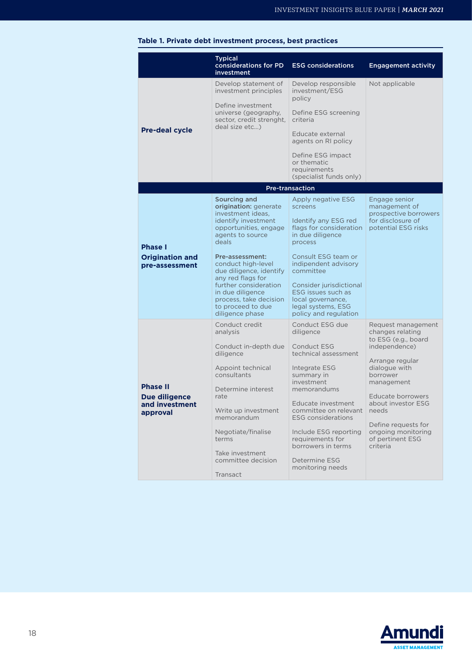|  |                                                                | <b>Typical</b><br>considerations for PD<br>investment                                                       | <b>ESG considerations</b>                                                                                         | <b>Engagement activity</b>                                                                          |
|--|----------------------------------------------------------------|-------------------------------------------------------------------------------------------------------------|-------------------------------------------------------------------------------------------------------------------|-----------------------------------------------------------------------------------------------------|
|  | <b>Pre-deal cycle</b>                                          | Develop statement of<br>investment principles                                                               | Develop responsible<br>investment/ESG<br>policy                                                                   | Not applicable                                                                                      |
|  |                                                                | Define investment<br>universe (geography,<br>sector, credit strenght,<br>deal size etc)                     | Define ESG screening<br>criteria                                                                                  |                                                                                                     |
|  |                                                                |                                                                                                             | Educate external<br>agents on RI policy                                                                           |                                                                                                     |
|  |                                                                |                                                                                                             | Define ESG impact<br>or thematic<br>requirements<br>(specialist funds only)                                       |                                                                                                     |
|  |                                                                |                                                                                                             | <b>Pre-transaction</b>                                                                                            |                                                                                                     |
|  | <b>Phase I</b><br><b>Origination and</b><br>pre-assessment     | Sourcing and<br>origination: generate<br>investment ideas,<br>identify investment<br>opportunities, engage  | Apply negative ESG<br>screens<br>Identify any ESG red<br>flags for consideration                                  | Engage senior<br>management of<br>prospective borrowers<br>for disclosure of<br>potential ESG risks |
|  |                                                                | agents to source<br>deals<br>Pre-assessment:                                                                | in due diligence<br>process<br>Consult ESG team or                                                                |                                                                                                     |
|  |                                                                | conduct high-level<br>due diligence, identify<br>any red flags for                                          | indipendent advisory<br>committee                                                                                 |                                                                                                     |
|  |                                                                | further consideration<br>in due diligence<br>process, take decision<br>to proceed to due<br>diligence phase | Consider jurisdictional<br>ESG issues such as<br>local governance,<br>legal systems, ESG<br>policy and regulation |                                                                                                     |
|  | <b>Phase II</b><br>Due diligence<br>and investment<br>approval | Conduct credit<br>analysis                                                                                  | Conduct ESG due<br>diligence                                                                                      | Request management<br>changes relating<br>to ESG (e.g., board                                       |
|  |                                                                | Conduct in-depth due<br>diligence                                                                           | <b>Conduct ESG</b><br>technical assessment                                                                        | independence)<br>Arrange regular                                                                    |
|  |                                                                | Appoint technical<br>consultants                                                                            | Integrate ESG<br>summary in<br>investment                                                                         | dialogue with<br>borrower<br>management                                                             |
|  |                                                                | Determine interest<br>rate                                                                                  | memorandums<br>Educate investment                                                                                 | Educate borrowers<br>about investor ESG                                                             |
|  |                                                                | Write up investment<br>memorandum                                                                           | committee on relevant<br><b>ESG</b> considerations                                                                | needs                                                                                               |
|  |                                                                | Negotiate/finalise<br>terms<br>Take investment                                                              | Include ESG reporting<br>requirements for<br>borrowers in terms                                                   | Define requests for<br>ongoing monitoring<br>of pertinent ESG<br>criteria                           |
|  |                                                                | committee decision<br>Transact                                                                              | Determine ESG<br>monitoring needs                                                                                 |                                                                                                     |

#### **Table 1. Private debt investment process, best practices**

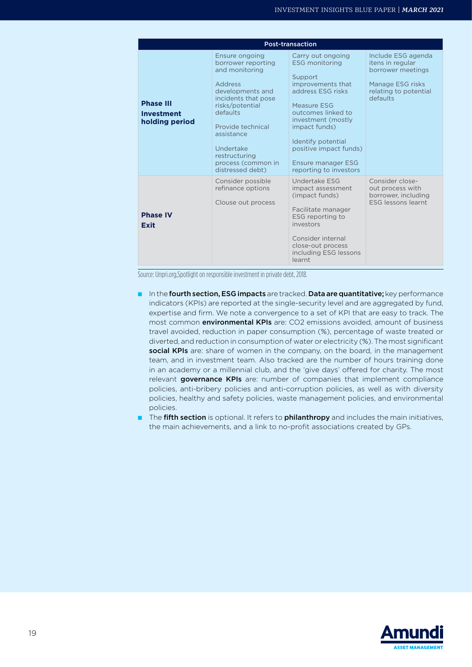| <b>Post-transaction</b>                          |                                                                                                                                                                                                                                                               |                                                                                                                                                                                                                                                                                    |                                                                                                                      |  |  |
|--------------------------------------------------|---------------------------------------------------------------------------------------------------------------------------------------------------------------------------------------------------------------------------------------------------------------|------------------------------------------------------------------------------------------------------------------------------------------------------------------------------------------------------------------------------------------------------------------------------------|----------------------------------------------------------------------------------------------------------------------|--|--|
| <b>Phase III</b><br>Investment<br>holding period | Ensure ongoing<br>borrower reporting<br>and monitoring<br><b>Address</b><br>developments and<br>incidents that pose<br>risks/potential<br>defaults<br>Provide technical<br>assistance<br>Undertake<br>restructuring<br>process (common in<br>distressed debt) | Carry out ongoing<br><b>ESG monitoring</b><br>Support<br>improvements that<br>address FSG risks<br>Measure ESG<br>outcomes linked to<br>investment (mostly<br>impact funds)<br>Identify potential<br>positive impact funds)<br><b>Ensure manager ESG</b><br>reporting to investors | Include ESG agenda<br>itens in regular<br>borrower meetings<br>Manage ESG risks<br>relating to potential<br>defaults |  |  |
| <b>Phase IV</b><br>Exit                          | Consider possible<br>refinance options<br>Clouse out process                                                                                                                                                                                                  | Undertake FSG<br>impact assessment<br>(impact funds)<br>Facilitate manager<br>ESG reporting to<br>investors<br>Consider internal<br>close-out process<br>including ESG lessons<br>learnt                                                                                           | Consider close-<br>out process with<br>borrower, including<br><b>FSG lessons learnt</b>                              |  |  |

Source: Unpri.org,Spotlight on responsible investment in private debt, 2018.

- In the fourth section, ESG impacts are tracked. Data are quantitative; key performance indicators (KPIs) are reported at the single-security level and are aggregated by fund, expertise and firm. We note a convergence to a set of KPI that are easy to track. The most common **environmental KPIs** are: CO2 emissions avoided, amount of business travel avoided, reduction in paper consumption (%), percentage of waste treated or diverted, and reduction in consumption of water or electricity (%). The most significant social KPIs are: share of women in the company, on the board, in the management team, and in investment team. Also tracked are the number of hours training done in an academy or a millennial club, and the 'give days' offered for charity. The most relevant governance KPIs are: number of companies that implement compliance policies, anti-bribery policies and anti-corruption policies, as well as with diversity policies, healthy and safety policies, waste management policies, and environmental policies.
- The fifth section is optional. It refers to philanthropy and includes the main initiatives, the main achievements, and a link to no-profit associations created by GPs.

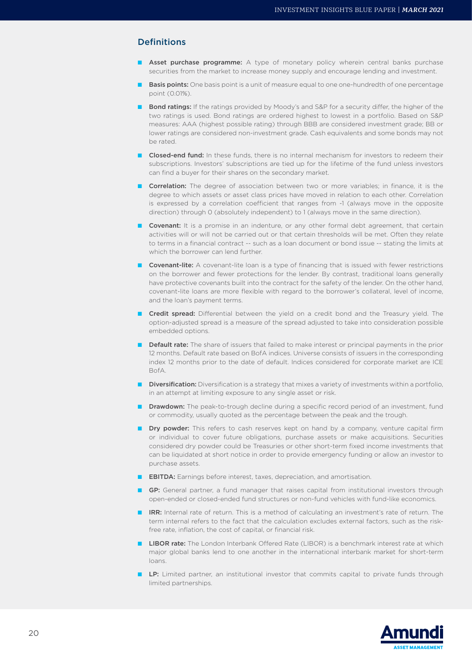#### **Definitions**

- Asset purchase programme: A type of monetary policy wherein central banks purchase securities from the market to increase money supply and encourage lending and investment.
- **Basis points:** One basis point is a unit of measure equal to one one-hundredth of one percentage point (0.01%).
- **Bond ratings:** If the ratings provided by Moody's and S&P for a security differ, the higher of the two ratings is used. Bond ratings are ordered highest to lowest in a portfolio. Based on S&P measures: AAA (highest possible rating) through BBB are considered investment grade; BB or lower ratings are considered non-investment grade. Cash equivalents and some bonds may not be rated.
- Closed-end fund: In these funds, there is no internal mechanism for investors to redeem their subscriptions. Investors' subscriptions are tied up for the lifetime of the fund unless investors can find a buyer for their shares on the secondary market.
- **Correlation:** The degree of association between two or more variables; in finance, it is the degree to which assets or asset class prices have moved in relation to each other. Correlation is expressed by a correlation coefficient that ranges from -1 (always move in the opposite direction) through 0 (absolutely independent) to 1 (always move in the same direction).
- Covenant: It is a promise in an indenture, or any other formal debt agreement, that certain activities will or will not be carried out or that certain thresholds will be met. Often they relate to terms in a financial contract -- such as a loan document or bond issue -- stating the limits at which the borrower can lend further.
- Covenant-lite: A covenant-lite loan is a type of financing that is issued with fewer restrictions on the borrower and fewer protections for the lender. By contrast, traditional loans generally have protective covenants built into the contract for the safety of the lender. On the other hand, covenant-lite loans are more flexible with regard to the borrower's collateral, level of income, and the loan's payment terms.
- Credit spread: Differential between the yield on a credit bond and the Treasury yield. The option-adjusted spread is a measure of the spread adjusted to take into consideration possible embedded options.
- **Default rate:** The share of issuers that failed to make interest or principal payments in the prior 12 months. Default rate based on BofA indices. Universe consists of issuers in the corresponding index 12 months prior to the date of default. Indices considered for corporate market are ICE BofA.
- Diversification: Diversification is a strategy that mixes a variety of investments within a portfolio, in an attempt at limiting exposure to any single asset or risk.
- Drawdown: The peak-to-trough decline during a specific record period of an investment, fund or commodity, usually quoted as the percentage between the peak and the trough.
- Dry powder: This refers to cash reserves kept on hand by a company, venture capital firm or individual to cover future obligations, purchase assets or make acquisitions. Securities considered dry powder could be Treasuries or other short-term [fixed income](https://www.investopedia.com/terms/f/fixedincome.asp) investments that can be liquidated at short notice in order to provide emergency funding or allow an investor to purchase assets.
- **EBITDA:** Earnings before interest, taxes, depreciation, and amortisation.
- **GP:** General partner, a fund manager that raises capital from institutional investors through open-ended or closed-ended fund structures or non-fund vehicles with fund-like economics.
- IRR: Internal rate of return. This is a method of calculating an [investment](https://en.wikipedia.org/wiki/Investment)'s rate of return. The term internal refers to the fact that the calculation excludes external factors, such as the riskfree rate, inflation, the cost of capital, or financial risk.
- LIBOR rate: The London Interbank Offered Rate (LIBOR) is a benchmark interest rate at which major global banks lend to one another in the international interbank market for short-term loans.
- LP: Limited partner, an institutional investor that commits capital to private funds through limited partnerships.

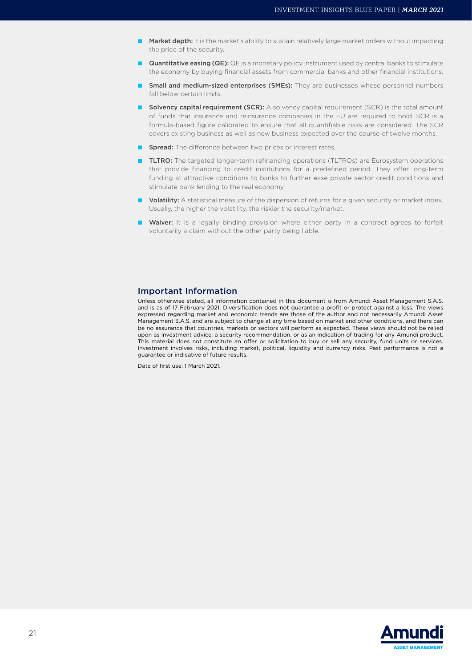- Market depth: It is the market's ability to sustain relatively large [market orders](https://www.investopedia.com/terms/m/marketorder.asp) without impacting the price of the security.
- **Quantitative easing (QE):** QE is a monetary policy instrument used by central banks to stimulate the economy by buying financial assets from commercial banks and other financial institutions.
- Small and medium-sized enterprises (SMEs): They are businesses whose [personnel](https://en.wikipedia.org/wiki/Personnel) numbers fall below certain limits.
- Solvency capital requirement (SCR): A solvency capital requirement (SCR) is the total amount of funds that insurance and [reinsurance](https://www.investopedia.com/terms/r/reinsurance.asp) companies in the EU are required to hold. SCR is a formula-based figure calibrated to ensure that all quantifiable risks are considered. The SCR covers existing business as well as new business expected over the course of twelve months.
- Spread: The difference between two prices or interest rates.
- TLTRO: The targeted longer-term refinancing operations (TLTROs) are Eurosystem operations that provide financing to credit institutions for a predefined period. They offer long-term funding at attractive conditions to banks to further ease private sector credit conditions and stimulate bank lending to the real economy.
- Volatility: A statistical measure of the dispersion of returns for a given security or market index. Usually, the higher the volatility, the riskier the security/market.
- Waiver: It is a legally binding provision where either party in a contract agrees to forfeit voluntarily a claim without the other party being liable.

#### Important Information

Unless otherwise stated, all information contained in this document is from Amundi Asset Management S.A.S. and is as of 17 February 2021. Diversification does not guarantee a profit or protect against a loss. The views expressed regarding market and economic trends are those of the author and not necessarily Amundi Asset Management S.A.S. and are subject to change at any time based on market and other conditions, and there can be no assurance that countries, markets or sectors will perform as expected. These views should not be relied upon as investment advice, a security recommendation, or as an indication of trading for any Amundi product. This material does not constitute an offer or solicitation to buy or sell any security, fund units or services. Investment involves risks, including market, political, liquidity and currency risks. Past performance is not a guarantee or indicative of future results.

Date of first use: 1 March 2021.